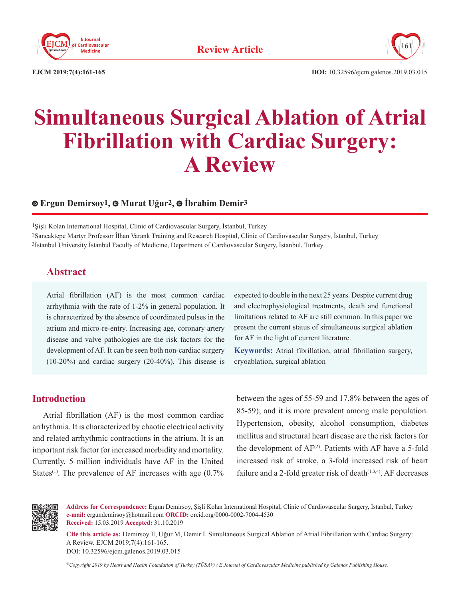



**EJCM 2019;7(4):161-165 DOI:** 10.32596/ejcm.galenos.2019.03.015

# **Simultaneous Surgical Ablation of Atrial Fibrillation with Cardiac Surgery: A Review**

#### **Ergun Demirsoy1,Murat Uğur2, İbrahim Demir3**

1Şişli Kolan International Hospital, Clinic of Cardiovascular Surgery, İstanbul, Turkey 2Sancaktepe Martyr Professor İlhan Varank Training and Research Hospital, Clinic of Cardiovascular Surgery, İstanbul, Turkey 3İstanbul University İstanbul Faculty of Medicine, Department of Cardiovascular Surgery, İstanbul, Turkey

## **Abstract**

Atrial fibrillation (AF) is the most common cardiac arrhythmia with the rate of 1-2% in general population. It is characterized by the absence of coordinated pulses in the atrium and micro-re-entry. Increasing age, coronary artery disease and valve pathologies are the risk factors for the development of AF. It can be seen both non-cardiac surgery (10-20%) and cardiac surgery (20-40%). This disease is expected to double in the next 25 years. Despite current drug and electrophysiological treatments, death and functional limitations related to AF are still common. In this paper we present the current status of simultaneous surgical ablation for AF in the light of current literature.

**Keywords:** Atrial fibrillation, atrial fibrillation surgery, cryoablation, surgical ablation

#### **Introduction**

Atrial fibrillation (AF) is the most common cardiac arrhythmia. It is characterized by chaotic electrical activity and related arrhythmic contractions in the atrium. It is an important risk factor for increased morbidity and mortality. Currently, 5 million individuals have AF in the United States<sup>(1)</sup>. The prevalence of AF increases with age  $(0.7\%$ 

between the ages of 55-59 and 17.8% between the ages of 85-59); and it is more prevalent among male population. Hypertension, obesity, alcohol consumption, diabetes mellitus and structural heart disease are the risk factors for the development of  $AF^{(2)}$ . Patients with AF have a 5-fold increased risk of stroke, a 3-fold increased risk of heart failure and a 2-fold greater risk of death $(1,3,4)$ . AF decreases



**Address for Correspondence:** Ergun Demirsoy, Şişli Kolan International Hospital, Clinic of Cardiovascular Surgery, İstanbul, Turkey **e-mail:** ergundemirsoy@hotmail.com **ORCID:** orcid.org/0000-0002-7004-4530 **Received:** 15.03.2019 **Accepted:** 31.10.2019

**Cite this article as:** Demirsoy E, Uğur M, Demir İ. Simultaneous Surgical Ablation of Atrial Fibrillation with Cardiac Surgery: A Review. EJCM 2019;7(4):161-165.

DOI: 10.32596/ejcm.galenos.2019.03.015

*©Copyright 2019 by Heart and Health Foundation of Turkey (TÜSAV) / E Journal of Cardiovascular Medicine published by Galenos Publishing House.*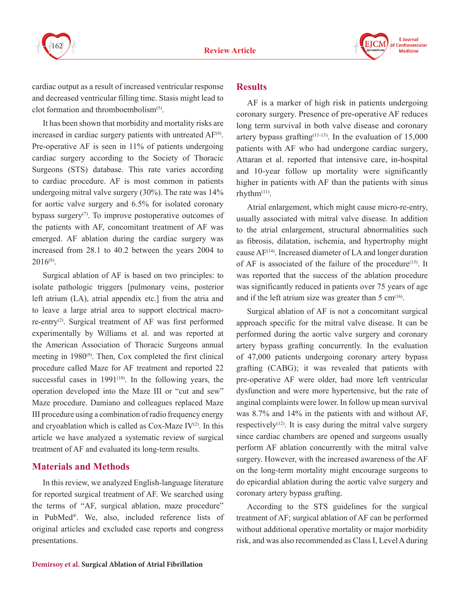



cardiac output as a result of increased ventricular response and decreased ventricular filling time. Stasis might lead to clot formation and thromboembolism(5).

It has been shown that morbidity and mortality risks are increased in cardiac surgery patients with untreated  $AF<sup>(6)</sup>$ . Pre-operative AF is seen in 11% of patients undergoing cardiac surgery according to the Society of Thoracic Surgeons (STS) database. This rate varies according to cardiac procedure. AF is most common in patients undergoing mitral valve surgery (30%). The rate was 14% for aortic valve surgery and 6.5% for isolated coronary bypass surgery<sup> $(7)$ </sup>. To improve postoperative outcomes of the patients with AF, concomitant treatment of AF was emerged. AF ablation during the cardiac surgery was increased from 28.1 to 40.2 between the years 2004 to  $2016^{(8)}$ 

Surgical ablation of AF is based on two principles: to isolate pathologic triggers [pulmonary veins, posterior left atrium (LA), atrial appendix etc.] from the atria and to leave a large atrial area to support electrical macrore-entry(2). Surgical treatment of AF was first performed experimentally by Williams et al. and was reported at the American Association of Thoracic Surgeons annual meeting in  $1980^{\circ}$ . Then, Cox completed the first clinical procedure called Maze for AF treatment and reported 22 successful cases in  $1991^{(10)}$ . In the following years, the operation developed into the Maze III or "cut and sew" Maze procedure. Damiano and colleagues replaced Maze III procedure using a combination of radio frequency energy and cryoablation which is called as  $Cox$ -Maze IV<sup>(2)</sup>. In this article we have analyzed a systematic review of surgical treatment of AF and evaluated its long-term results.

#### **Materials and Methods**

In this review, we analyzed English-language literature for reported surgical treatment of AF. We searched using the terms of "AF, surgical ablation, maze procedure" in PubMed®. We, also, included reference lists of original articles and excluded case reports and congress presentations.

#### **Results**

AF is a marker of high risk in patients undergoing coronary surgery. Presence of pre-operative AF reduces long term survival in both valve disease and coronary artery bypass grafting<sup> $(11-13)$ </sup>. In the evaluation of 15,000 patients with AF who had undergone cardiac surgery, Attaran et al. reported that intensive care, in-hospital and 10-year follow up mortality were significantly higher in patients with AF than the patients with sinus rhyth $m$ <sup> $(11)$ </sup>.

Atrial enlargement, which might cause micro-re-entry, usually associated with mitral valve disease. In addition to the atrial enlargement, structural abnormalities such as fibrosis, dilatation, ischemia, and hypertrophy might cause  $AF<sup>(14)</sup>$ . Increased diameter of LA and longer duration of AF is associated of the failure of the procedure<sup> $(15)$ </sup>. It was reported that the success of the ablation procedure was significantly reduced in patients over 75 years of age and if the left atrium size was greater than  $5 \text{ cm}^{(16)}$ .

Surgical ablation of AF is not a concomitant surgical approach specific for the mitral valve disease. It can be performed during the aortic valve surgery and coronary artery bypass grafting concurrently. In the evaluation of 47,000 patients undergoing coronary artery bypass grafting (CABG); it was revealed that patients with pre-operative AF were older, had more left ventricular dysfunction and were more hypertensive, but the rate of anginal complaints were lower. In follow up mean survival was 8.7% and 14% in the patients with and without AF, respectively<sup> $(12)$ </sup>. It is easy during the mitral valve surgery since cardiac chambers are opened and surgeons usually perform AF ablation concurrently with the mitral valve surgery. However, with the increased awareness of the AF on the long-term mortality might encourage surgeons to do epicardial ablation during the aortic valve surgery and coronary artery bypass grafting.

According to the STS guidelines for the surgical treatment of AF; surgical ablation of AF can be performed without additional operative mortality or major morbidity risk, and was also recommended as Class I, Level A during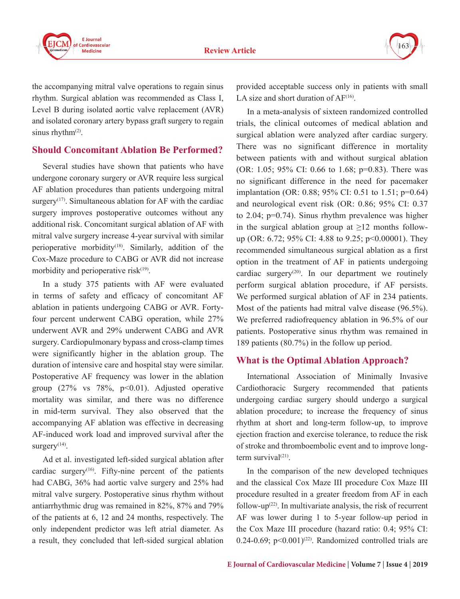

163

the accompanying mitral valve operations to regain sinus rhythm. Surgical ablation was recommended as Class I, Level B during isolated aortic valve replacement (AVR) and isolated coronary artery bypass graft surgery to regain sinus rhyth $m^{(2)}$ .

### **Should Concomitant Ablation Be Performed?**

Several studies have shown that patients who have undergone coronary surgery or AVR require less surgical AF ablation procedures than patients undergoing mitral surgery<sup> $(17)$ </sup>. Simultaneous ablation for AF with the cardiac surgery improves postoperative outcomes without any additional risk. Concomitant surgical ablation of AF with mitral valve surgery increase 4-year survival with similar perioperative morbidity<sup>(18)</sup>. Similarly, addition of the Cox-Maze procedure to CABG or AVR did not increase morbidity and perioperative risk<sup>(19)</sup>.

In a study 375 patients with AF were evaluated in terms of safety and efficacy of concomitant AF ablation in patients undergoing CABG or AVR. Fortyfour percent underwent CABG operation, while 27% underwent AVR and 29% underwent CABG and AVR surgery. Cardiopulmonary bypass and cross-clamp times were significantly higher in the ablation group. The duration of intensive care and hospital stay were similar. Postoperative AF frequency was lower in the ablation group  $(27\%$  vs  $78\%$ ,  $p<0.01$ ). Adjusted operative mortality was similar, and there was no difference in mid-term survival. They also observed that the accompanying AF ablation was effective in decreasing AF-induced work load and improved survival after the surgery $(14)$ .

Ad et al. investigated left-sided surgical ablation after cardiac surgery<sup> $(16)$ </sup>. Fifty-nine percent of the patients had CABG, 36% had aortic valve surgery and 25% had mitral valve surgery. Postoperative sinus rhythm without antiarrhythmic drug was remained in 82%, 87% and 79% of the patients at 6, 12 and 24 months, respectively. The only independent predictor was left atrial diameter. As a result, they concluded that left-sided surgical ablation

provided acceptable success only in patients with small LA size and short duration of  $AF^{(16)}$ .

In a meta-analysis of sixteen randomized controlled trials, the clinical outcomes of medical ablation and surgical ablation were analyzed after cardiac surgery. There was no significant difference in mortality between patients with and without surgical ablation (OR: 1.05; 95% CI: 0.66 to 1.68; p=0.83). There was no significant difference in the need for pacemaker implantation (OR: 0.88; 95% CI: 0.51 to 1.51; p=0.64) and neurological event risk (OR: 0.86; 95% CI: 0.37 to 2.04; p=0.74). Sinus rhythm prevalence was higher in the surgical ablation group at  $\geq 12$  months followup (OR: 6.72; 95% CI: 4.88 to 9.25; p<0.00001). They recommended simultaneous surgical ablation as a first option in the treatment of AF in patients undergoing cardiac surgery<sup>(20)</sup>. In our department we routinely perform surgical ablation procedure, if AF persists. We performed surgical ablation of AF in 234 patients. Most of the patients had mitral valve disease (96.5%). We preferred radiofrequency ablation in 96.5% of our patients. Postoperative sinus rhythm was remained in 189 patients (80.7%) in the follow up period.

## **What is the Optimal Ablation Approach?**

International Association of Minimally Invasive Cardiothoracic Surgery recommended that patients undergoing cardiac surgery should undergo a surgical ablation procedure; to increase the frequency of sinus rhythm at short and long-term follow-up, to improve ejection fraction and exercise tolerance, to reduce the risk of stroke and thromboembolic event and to improve longterm survival $(21)$ .

In the comparison of the new developed techniques and the classical Cox Maze III procedure Cox Maze III procedure resulted in a greater freedom from AF in each follow-up $(22)$ . In multivariate analysis, the risk of recurrent AF was lower during 1 to 5-year follow-up period in the Cox Maze III procedure (hazard ratio: 0.4; 95% CI: 0.24-0.69;  $p<0.001$ )<sup>(22)</sup>. Randomized controlled trials are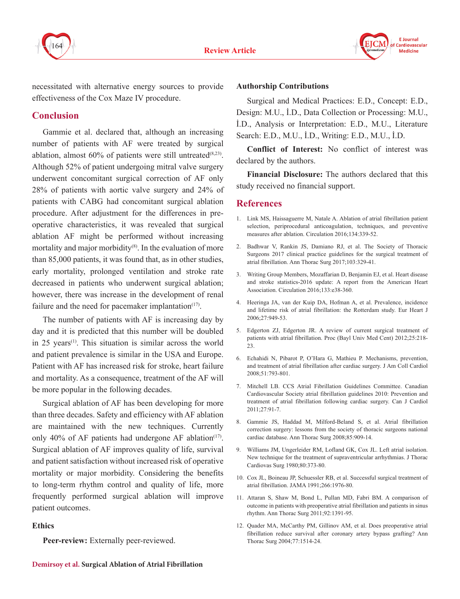



necessitated with alternative energy sources to provide effectiveness of the Cox Maze IV procedure.

### **Conclusion**

Gammie et al. declared that, although an increasing number of patients with AF were treated by surgical ablation, almost  $60\%$  of patients were still untreated<sup>(8,23)</sup>. Although 52% of patient undergoing mitral valve surgery underwent concomitant surgical correction of AF only 28% of patients with aortic valve surgery and 24% of patients with CABG had concomitant surgical ablation procedure. After adjustment for the differences in preoperative characteristics, it was revealed that surgical ablation AF might be performed without increasing mortality and major morbidity $(8)$ . In the evaluation of more than 85,000 patients, it was found that, as in other studies, early mortality, prolonged ventilation and stroke rate decreased in patients who underwent surgical ablation; however, there was increase in the development of renal failure and the need for pacemaker implantation $(17)$ .

The number of patients with AF is increasing day by day and it is predicted that this number will be doubled in  $25$  years<sup> $(1)$ </sup>. This situation is similar across the world and patient prevalence is similar in the USA and Europe. Patient with AF has increased risk for stroke, heart failure and mortality. As a consequence, treatment of the AF will be more popular in the following decades.

Surgical ablation of AF has been developing for more than three decades. Safety and efficiency with AF ablation are maintained with the new techniques. Currently only 40% of AF patients had undergone AF ablation<sup>(17)</sup>. Surgical ablation of AF improves quality of life, survival and patient satisfaction without increased risk of operative mortality or major morbidity. Considering the benefits to long-term rhythm control and quality of life, more frequently performed surgical ablation will improve patient outcomes.

#### **Ethics**

**Peer-review:** Externally peer-reviewed.

#### **Authorship Contributions**

Surgical and Medical Practices: E.D., Concept: E.D., Design: M.U., İ.D., Data Collection or Processing: M.U., İ.D., Analysis or Interpretation: E.D., M.U., Literature Search: E.D., M.U., İ.D., Writing: E.D., M.U., İ.D.

**Conflict of Interest:** No conflict of interest was declared by the authors.

**Financial Disclosure:** The authors declared that this study received no financial support.

#### **References**

- 1. Link MS, Haissaguerre M, Natale A. Ablation of atrial fibrillation patient selection, periprocedural anticoagulation, techniques, and preventive measures after ablation. Circulation 2016;134:339-52.
- 2. Badhwar V, Rankin JS, Damiano RJ, et al. The Society of Thoracic Surgeons 2017 clinical practice guidelines for the surgical treatment of atrial fibrillation. Ann Thorac Surg 2017;103:329-41.
- 3. Writing Group Members, Mozaffarian D, Benjamin EJ, et al. Heart disease and stroke statistics-2016 update: A report from the American Heart Association. Circulation 2016;133:e38-360.
- 4. Heeringa JA, van der Kuip DA, Hofman A, et al. Prevalence, incidence and lifetime risk of atrial fibrillation: the Rotterdam study. Eur Heart J 2006;27:949-53.
- 5. Edgerton ZJ, Edgerton JR. A review of current surgical treatment of patients with atrial fibrillation. Proc (Bayl Univ Med Cent) 2012;25:218- 23.
- 6. Echahidi N, Pibarot P, O'Hara G, Mathieu P. Mechanisms, prevention, and treatment of atrial fibrillation after cardiac surgery. J Am Coll Cardiol 2008;51:793-801.
- 7. Mitchell LB. CCS Atrial Fibrillation Guidelines Committee. Canadian Cardiovascular Society atrial fibrillation guidelines 2010: Prevention and treatment of atrial fibrillation following cardiac surgery. Can J Cardiol 2011;27:91-7.
- 8. Gammie JS, Haddad M, Milford-Beland S, et al. Atrial fibrillation correction surgery: lessons from the society of thoracic surgeons national cardiac database. Ann Thorac Surg 2008;85:909-14.
- 9. Williams JM, Ungerleider RM, Lofland GK, Cox JL. Left atrial isolation. New technique for the treatment of supraventricular arrhythmias. J Thorac Cardiovas Surg 1980;80:373-80.
- 10. Cox JL, Boineau JP, Schuessler RB, et al. Successful surgical treatment of atrial fibrillation. JAMA 1991;266:1976-80.
- 11. Attaran S, Shaw M, Bond L, Pullan MD, Fabri BM. A comparison of outcome in patients with preoperative atrial fibrillation and patients in sinus rhythm. Ann Thorac Surg 2011;92:1391-95.
- 12. Quader MA, McCarthy PM, Gillinov AM, et al. Does preoperative atrial fibrillation reduce survival after coronary artery bypass grafting? Ann Thorac Surg 2004;77:1514-24.